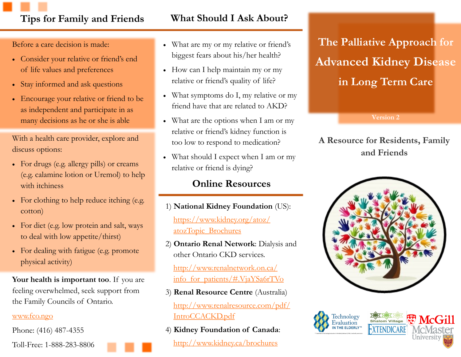# **Tips for Family and Friends What Should I Ask About?**

Before a care decision is made:

- Consider your relative or friend's end of life values and preferences
- Stay informed and ask questions
- Encourage your relative or friend to be as independent and participate in as many decisions as he or she is able

With a health care provider, explore and discuss options:

- For drugs (e.g. allergy pills) or creams (e.g. calamine lotion or Uremol) to help with *itchiness*
- For clothing to help reduce itching (e.g. cotton)
- For diet (e.g. low protein and salt, ways to deal with low appetite/thirst)
- For dealing with fatigue (e.g. promote physical activity)

**Your health is important too**. If you are feeling overwhelmed, seek support from the Family Councils of Ontario.

#### [www.fco.ngo](http://www.fco.ngo)

Phone: (416) 487-4355

Toll-Free: 1-888-283-8806

- What are my or my relative or friend's biggest fears about his/her health?
- How can I help maintain my or my relative or friend's quality of life?
- What symptoms do I, my relative or my friend have that are related to AKD?
- What are the options when I am or my relative or friend's kidney function is too low to respond to medication?
- What should I expect when I am or my relative or friend is dying?

## **Online Resources**

- 1) **National Kidney Foundation** (US): [https://www.kidney.org/atoz/](https://www.kidney.org/atoz/atozTopic_Brochures) [atozTopic\\_Brochures](https://www.kidney.org/atoz/atozTopic_Brochures)
- 2) **Ontario Renal Network**: Dialysis and other Ontario CKD services.

[http://www.renalnetwork.on.ca/](http://www.renalnetwork.on.ca/info_for_patients/#.VjaYSa6rTVo) [info\\_for\\_patients/#.VjaYSa6rTVo](http://www.renalnetwork.on.ca/info_for_patients/#.VjaYSa6rTVo)

- 3) **Renal Resource Centre** (Australia) [http://www.renalresource.com/pdf/](3)%20Renal%20Resource%20Centre%20(Australian%20resource):%20what%20to%20expect%20with%20ACKD) [IntroCCACKD.pdf](3)%20Renal%20Resource%20Centre%20(Australian%20resource):%20what%20to%20expect%20with%20ACKD)
- 4) **Kidney Foundation of Canada**: <http://www.kidney.ca/brochures>

**The Palliative Approach for Advanced Kidney Disease in Long Term Care**

**Version 2**

## **A Resource for Residents, Family and Friends**